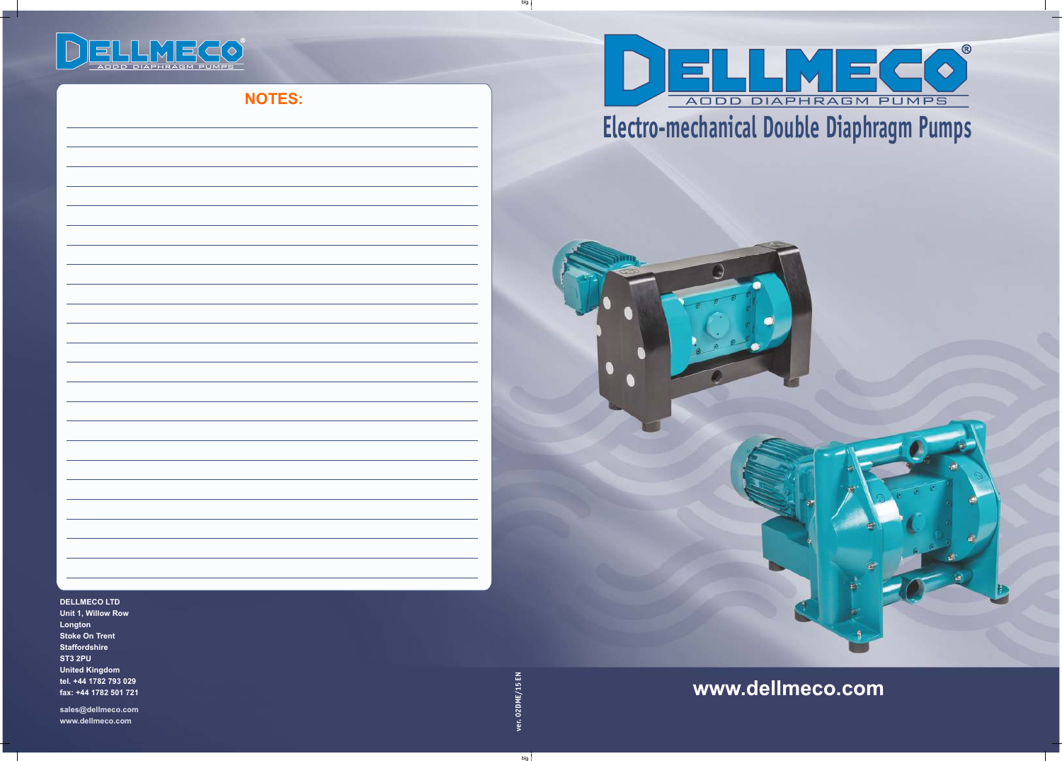big

big

#### **DELLMECO LTD**

**Unit 1, Willow Row Longton Stoke On Trent Staffordshire ST3 2PU United Kingdom tel. +44 1782 793 029 fax: +44 1782 501 721**

**sales@dellmeco.com www.dellmeco.com**

# ELLMECO<sup>®</sup> ODD DIAPHRAGM PUMPS

**NOTES:**

**www.dellmeco.com**



# **Electro-mechanical Double Diaphragm Pumps**